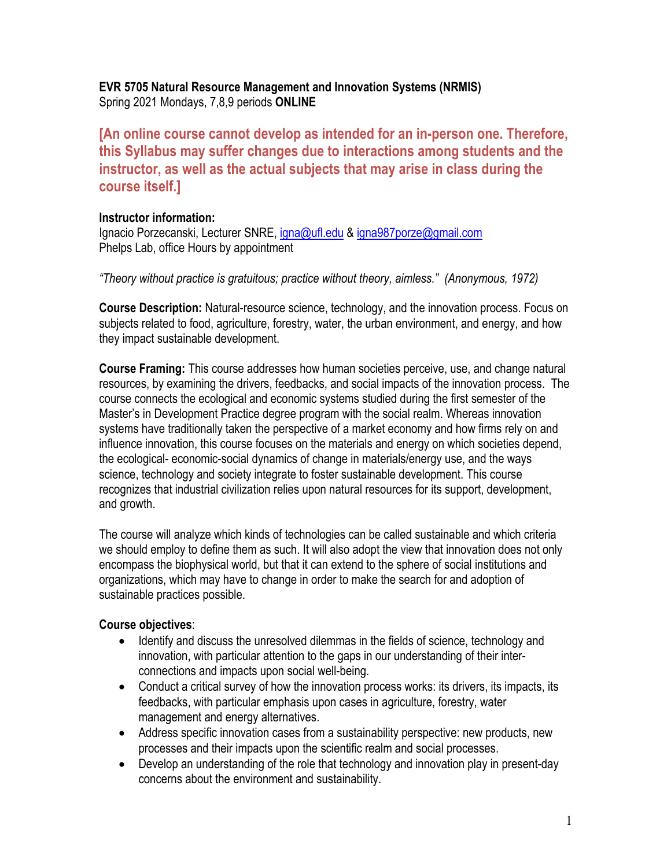## **EVR 5705 Natural Resource Management and Innovation Systems (NRMIS)** Spring 2021 Mondays, 7,8,9 periods **ONLINE**

**[An online course cannot develop as intended for an in-person one. Therefore, this Syllabus may suffer changes due to interactions among students and the instructor, as well as the actual subjects that may arise in class during the course itself.]**

### **Instructor information:**

Ignacio Porzecanski, Lecturer SNRE, igna@ufl.edu & igna987porze@gmail.com Phelps Lab, office Hours by appointment

*"Theory without practice is gratuitous; practice without theory, aimless." (Anonymous, 1972)* 

**Course Description:** Natural-resource science, technology, and the innovation process. Focus on subjects related to food, agriculture, forestry, water, the urban environment, and energy, and how they impact sustainable development.

**Course Framing:** This course addresses how human societies perceive, use, and change natural resources, by examining the drivers, feedbacks, and social impacts of the innovation process. The course connects the ecological and economic systems studied during the first semester of the Master's in Development Practice degree program with the social realm. Whereas innovation systems have traditionally taken the perspective of a market economy and how firms rely on and influence innovation, this course focuses on the materials and energy on which societies depend, the ecological- economic-social dynamics of change in materials/energy use, and the ways science, technology and society integrate to foster sustainable development. This course recognizes that industrial civilization relies upon natural resources for its support, development, and growth.

The course will analyze which kinds of technologies can be called sustainable and which criteria we should employ to define them as such. It will also adopt the view that innovation does not only encompass the biophysical world, but that it can extend to the sphere of social institutions and organizations, which may have to change in order to make the search for and adoption of sustainable practices possible.

# **Course objectives**:

- Identify and discuss the unresolved dilemmas in the fields of science, technology and innovation, with particular attention to the gaps in our understanding of their interconnections and impacts upon social well-being.
- Conduct a critical survey of how the innovation process works: its drivers, its impacts, its feedbacks, with particular emphasis upon cases in agriculture, forestry, water management and energy alternatives.
- Address specific innovation cases from a sustainability perspective: new products, new processes and their impacts upon the scientific realm and social processes.
- Develop an understanding of the role that technology and innovation play in present-day concerns about the environment and sustainability.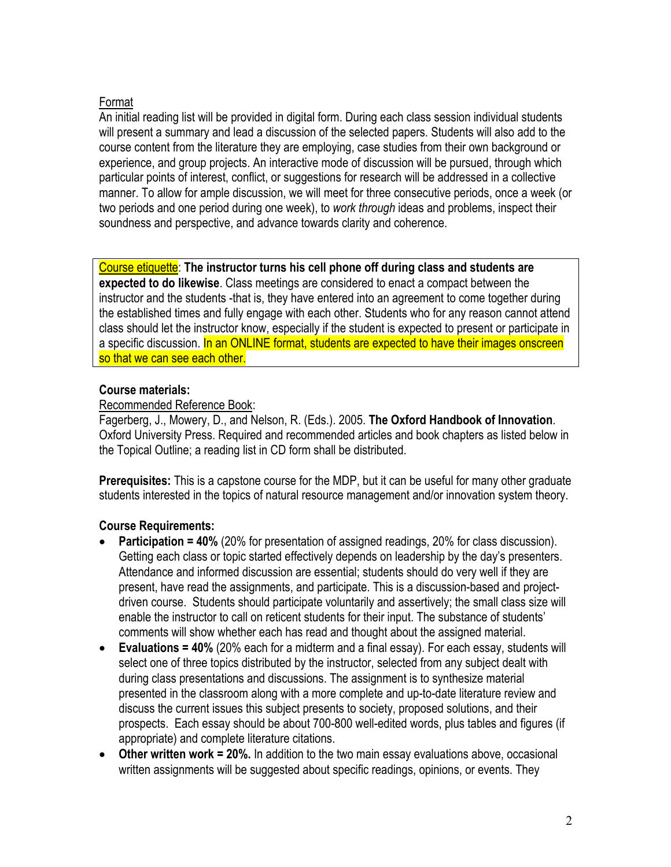# Format

An initial reading list will be provided in digital form. During each class session individual students will present a summary and lead a discussion of the selected papers. Students will also add to the course content from the literature they are employing, case studies from their own background or experience, and group projects. An interactive mode of discussion will be pursued, through which particular points of interest, conflict, or suggestions for research will be addressed in a collective manner. To allow for ample discussion, we will meet for three consecutive periods, once a week (or two periods and one period during one week), to *work through* ideas and problems, inspect their soundness and perspective, and advance towards clarity and coherence.

Course etiquette: **The instructor turns his cell phone off during class and students are expected to do likewise**. Class meetings are considered to enact a compact between the instructor and the students -that is, they have entered into an agreement to come together during the established times and fully engage with each other. Students who for any reason cannot attend class should let the instructor know, especially if the student is expected to present or participate in a specific discussion. In an ONLINE format, students are expected to have their images onscreen so that we can see each other.

# **Course materials:**

# Recommended Reference Book:

Fagerberg, J., Mowery, D., and Nelson, R. (Eds.). 2005. **The Oxford Handbook of Innovation**. Oxford University Press. Required and recommended articles and book chapters as listed below in the Topical Outline; a reading list in CD form shall be distributed.

**Prerequisites:** This is a capstone course for the MDP, but it can be useful for many other graduate students interested in the topics of natural resource management and/or innovation system theory.

# **Course Requirements:**

- **Participation = 40%** (20% for presentation of assigned readings, 20% for class discussion). Getting each class or topic started effectively depends on leadership by the day's presenters. Attendance and informed discussion are essential; students should do very well if they are present, have read the assignments, and participate. This is a discussion-based and projectdriven course. Students should participate voluntarily and assertively; the small class size will enable the instructor to call on reticent students for their input. The substance of students' comments will show whether each has read and thought about the assigned material.
- **Evaluations = 40%** (20% each for a midterm and a final essay). For each essay, students will select one of three topics distributed by the instructor, selected from any subject dealt with during class presentations and discussions. The assignment is to synthesize material presented in the classroom along with a more complete and up-to-date literature review and discuss the current issues this subject presents to society, proposed solutions, and their prospects. Each essay should be about 700-800 well-edited words, plus tables and figures (if appropriate) and complete literature citations.
- **Other written work = 20%.** In addition to the two main essay evaluations above, occasional written assignments will be suggested about specific readings, opinions, or events. They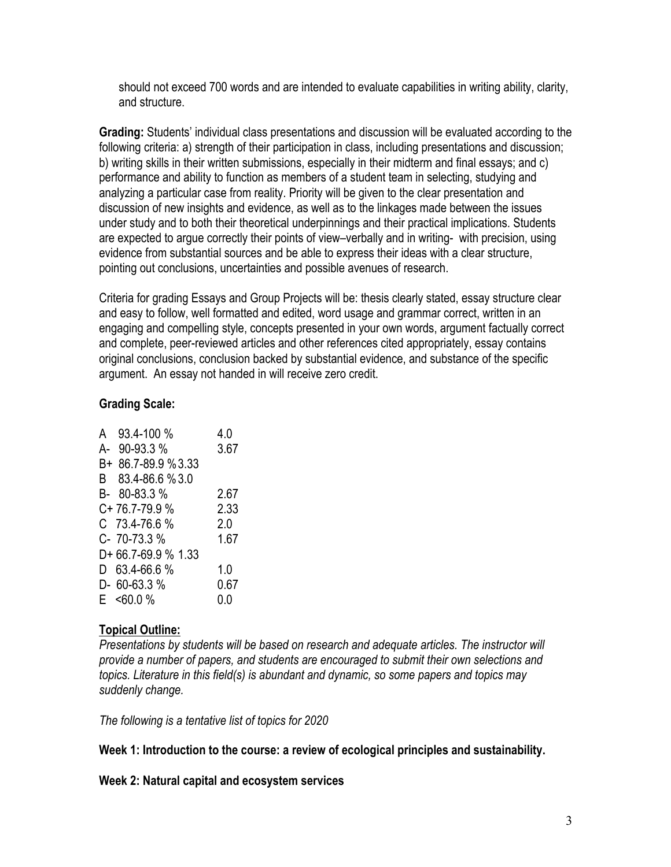should not exceed 700 words and are intended to evaluate capabilities in writing ability, clarity, and structure.

**Grading:** Students' individual class presentations and discussion will be evaluated according to the following criteria: a) strength of their participation in class, including presentations and discussion; b) writing skills in their written submissions, especially in their midterm and final essays; and c) performance and ability to function as members of a student team in selecting, studying and analyzing a particular case from reality. Priority will be given to the clear presentation and discussion of new insights and evidence, as well as to the linkages made between the issues under study and to both their theoretical underpinnings and their practical implications. Students are expected to argue correctly their points of view–verbally and in writing- with precision, using evidence from substantial sources and be able to express their ideas with a clear structure, pointing out conclusions, uncertainties and possible avenues of research.

Criteria for grading Essays and Group Projects will be: thesis clearly stated, essay structure clear and easy to follow, well formatted and edited, word usage and grammar correct, written in an engaging and compelling style, concepts presented in your own words, argument factually correct and complete, peer-reviewed articles and other references cited appropriately, essay contains original conclusions, conclusion backed by substantial evidence, and substance of the specific argument. An essay not handed in will receive zero credit.

# **Grading Scale:**

| A 93.4-100 %       | 4.0  |
|--------------------|------|
| A- 90-93.3 %       | 3.67 |
| B+ 86.7-89.9 %3.33 |      |
| B 83.4-86.6 % 3.0  |      |
| B- 80-83.3 %       | 2.67 |
| C+76.7-79.9%       | 2.33 |
| $C$ 73.4-76.6 %    | 2.0  |
| C-70-73.3%         | 1.67 |
| D+66.7-69.9 % 1.33 |      |
| $D$ 63.4-66.6 %    | 1.0  |
| $D - 60 - 63.3 %$  | 0.67 |
| $E$ <60.0 %        | 0.0  |

# **Topical Outline:**

*Presentations by students will be based on research and adequate articles. The instructor will provide a number of papers, and students are encouraged to submit their own selections and topics. Literature in this field(s) is abundant and dynamic, so some papers and topics may suddenly change.*

*The following is a tentative list of topics for 2020*

# **Week 1: Introduction to the course: a review of ecological principles and sustainability.**

### **Week 2: Natural capital and ecosystem services**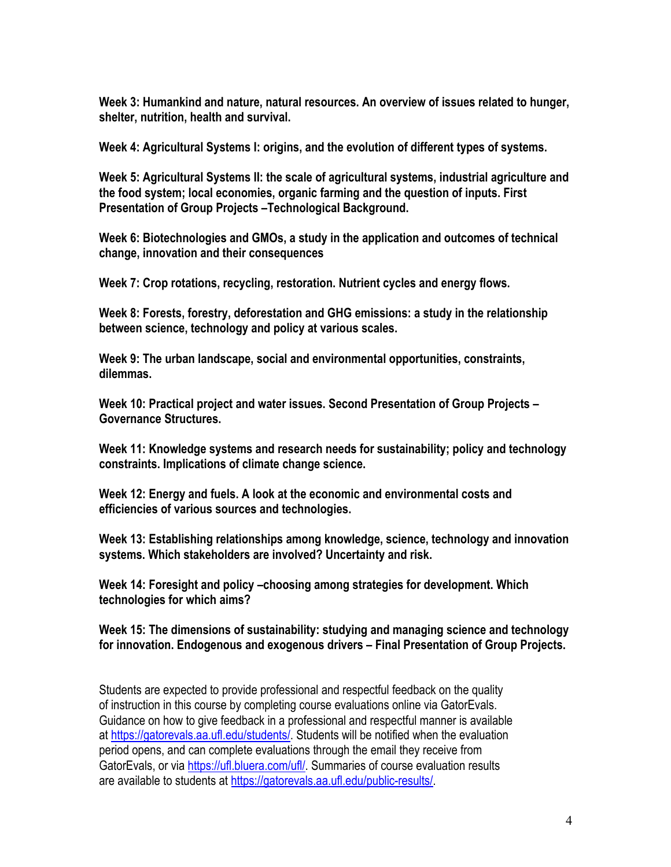**Week 3: Humankind and nature, natural resources. An overview of issues related to hunger, shelter, nutrition, health and survival.**

**Week 4: Agricultural Systems I: origins, and the evolution of different types of systems.**

**Week 5: Agricultural Systems II: the scale of agricultural systems, industrial agriculture and the food system; local economies, organic farming and the question of inputs. First Presentation of Group Projects –Technological Background.** 

**Week 6: Biotechnologies and GMOs, a study in the application and outcomes of technical change, innovation and their consequences**

**Week 7: Crop rotations, recycling, restoration. Nutrient cycles and energy flows.**

**Week 8: Forests, forestry, deforestation and GHG emissions: a study in the relationship between science, technology and policy at various scales.**

**Week 9: The urban landscape, social and environmental opportunities, constraints, dilemmas.** 

**Week 10: Practical project and water issues. Second Presentation of Group Projects – Governance Structures.**

**Week 11: Knowledge systems and research needs for sustainability; policy and technology constraints. Implications of climate change science.**

**Week 12: Energy and fuels. A look at the economic and environmental costs and efficiencies of various sources and technologies.**

**Week 13: Establishing relationships among knowledge, science, technology and innovation systems. Which stakeholders are involved? Uncertainty and risk.**

**Week 14: Foresight and policy –choosing among strategies for development. Which technologies for which aims?**

**Week 15: The dimensions of sustainability: studying and managing science and technology for innovation. Endogenous and exogenous drivers – Final Presentation of Group Projects.**

Students are expected to provide professional and respectful feedback on the quality of instruction in this course by completing course evaluations online via GatorEvals. Guidance on how to give feedback in a professional and respectful manner is available at https://gatorevals.aa.ufl.edu/students/. Students will be notified when the evaluation period opens, and can complete evaluations through the email they receive from GatorEvals, or via https://ufl.bluera.com/ufl/. Summaries of course evaluation results are available to students at https://gatorevals.aa.ufl.edu/public-results/.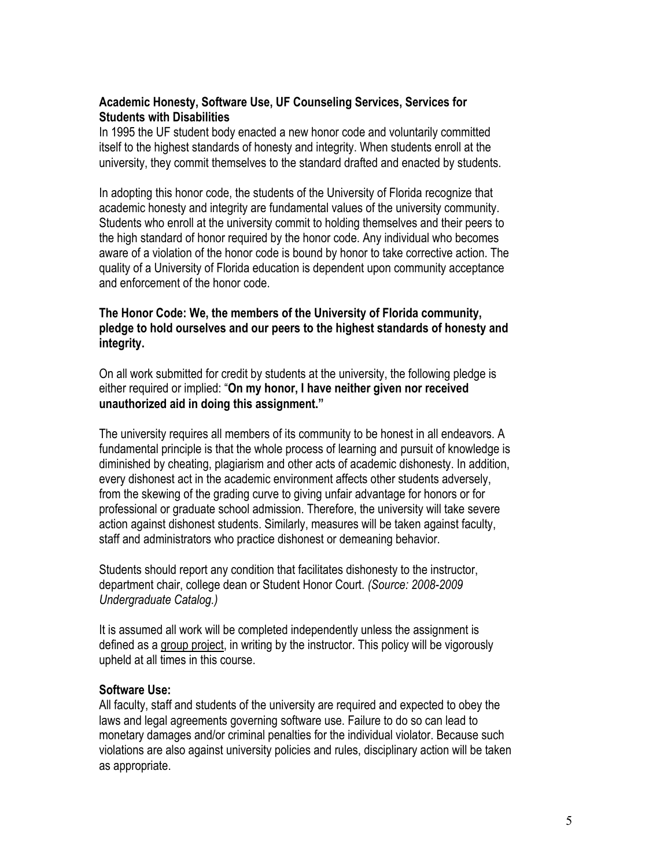### **Academic Honesty, Software Use, UF Counseling Services, Services for Students with Disabilities**

In 1995 the UF student body enacted a new honor code and voluntarily committed itself to the highest standards of honesty and integrity. When students enroll at the university, they commit themselves to the standard drafted and enacted by students.

In adopting this honor code, the students of the University of Florida recognize that academic honesty and integrity are fundamental values of the university community. Students who enroll at the university commit to holding themselves and their peers to the high standard of honor required by the honor code. Any individual who becomes aware of a violation of the honor code is bound by honor to take corrective action. The quality of a University of Florida education is dependent upon community acceptance and enforcement of the honor code.

## **The Honor Code: We, the members of the University of Florida community, pledge to hold ourselves and our peers to the highest standards of honesty and integrity.**

On all work submitted for credit by students at the university, the following pledge is either required or implied: "**On my honor, I have neither given nor received unauthorized aid in doing this assignment."** 

The university requires all members of its community to be honest in all endeavors. A fundamental principle is that the whole process of learning and pursuit of knowledge is diminished by cheating, plagiarism and other acts of academic dishonesty. In addition, every dishonest act in the academic environment affects other students adversely, from the skewing of the grading curve to giving unfair advantage for honors or for professional or graduate school admission. Therefore, the university will take severe action against dishonest students. Similarly, measures will be taken against faculty, staff and administrators who practice dishonest or demeaning behavior.

Students should report any condition that facilitates dishonesty to the instructor, department chair, college dean or Student Honor Court. *(Source: 2008-2009 Undergraduate Catalog.)*

It is assumed all work will be completed independently unless the assignment is defined as a group project, in writing by the instructor. This policy will be vigorously upheld at all times in this course.

### **Software Use:**

All faculty, staff and students of the university are required and expected to obey the laws and legal agreements governing software use. Failure to do so can lead to monetary damages and/or criminal penalties for the individual violator. Because such violations are also against university policies and rules, disciplinary action will be taken as appropriate.